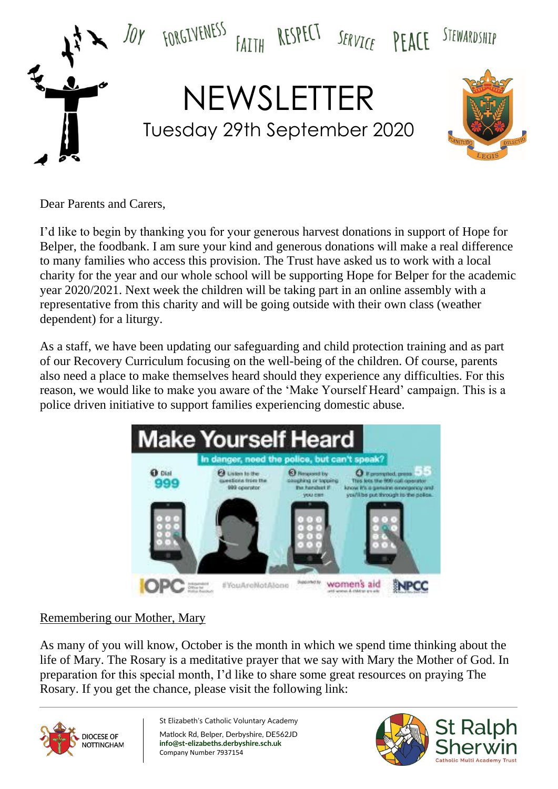

Dear Parents and Carers,

I'd like to begin by thanking you for your generous harvest donations in support of Hope for Belper, the foodbank. I am sure your kind and generous donations will make a real difference to many families who access this provision. The Trust have asked us to work with a local charity for the year and our whole school will be supporting Hope for Belper for the academic year 2020/2021. Next week the children will be taking part in an online assembly with a representative from this charity and will be going outside with their own class (weather dependent) for a liturgy.

As a staff, we have been updating our safeguarding and child protection training and as part of our Recovery Curriculum focusing on the well-being of the children. Of course, parents also need a place to make themselves heard should they experience any difficulties. For this reason, we would like to make you aware of the 'Make Yourself Heard' campaign. This is a police driven initiative to support families experiencing domestic abuse.



# Remembering our Mother, Mary

As many of you will know, October is the month in which we spend time thinking about the life of Mary. The Rosary is a meditative prayer that we say with Mary the Mother of God. In preparation for this special month, I'd like to share some great resources on praying The Rosary. If you get the chance, please visit the following link:



St Elizabeth's Catholic Voluntary Academy Matlock Rd, Belper, Derbyshire, DE562JD **info@st-elizabeths.derbyshire.sch.uk** Company Number 7937154

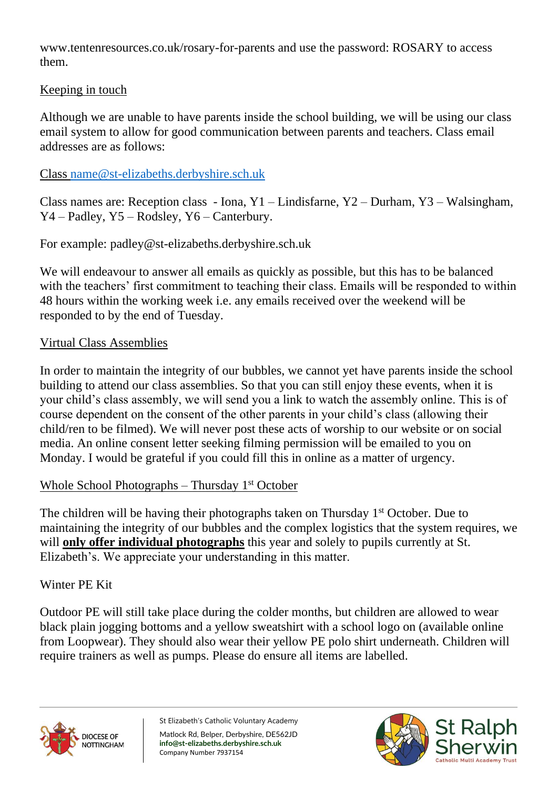www.tentenresources.co.uk/rosary-for-parents and use the password: ROSARY to access them.

## Keeping in touch

Although we are unable to have parents inside the school building, we will be using our class email system to allow for good communication between parents and teachers. Class email addresses are as follows:

## Class [name@st-elizabeths.derbyshire.sch.uk](mailto:name@st-elizabeths.derbyshire.sch.uk)

Class names are: Reception class - Iona, Y1 – Lindisfarne, Y2 – Durham, Y3 – Walsingham, Y4 – Padley, Y5 – Rodsley, Y6 – Canterbury.

For example: padley@st-elizabeths.derbyshire.sch.uk

We will endeavour to answer all emails as quickly as possible, but this has to be balanced with the teachers' first commitment to teaching their class. Emails will be responded to within 48 hours within the working week i.e. any emails received over the weekend will be responded to by the end of Tuesday.

#### Virtual Class Assemblies

In order to maintain the integrity of our bubbles, we cannot yet have parents inside the school building to attend our class assemblies. So that you can still enjoy these events, when it is your child's class assembly, we will send you a link to watch the assembly online. This is of course dependent on the consent of the other parents in your child's class (allowing their child/ren to be filmed). We will never post these acts of worship to our website or on social media. An online consent letter seeking filming permission will be emailed to you on Monday. I would be grateful if you could fill this in online as a matter of urgency.

# Whole School Photographs – Thursday 1<sup>st</sup> October

The children will be having their photographs taken on Thursday 1<sup>st</sup> October. Due to maintaining the integrity of our bubbles and the complex logistics that the system requires, we will **only offer individual photographs** this year and solely to pupils currently at St. Elizabeth's. We appreciate your understanding in this matter.

#### Winter PE Kit

Outdoor PE will still take place during the colder months, but children are allowed to wear black plain jogging bottoms and a yellow sweatshirt with a school logo on (available online from Loopwear). They should also wear their yellow PE polo shirt underneath. Children will require trainers as well as pumps. Please do ensure all items are labelled.



St Elizabeth's Catholic Voluntary Academy Matlock Rd, Belper, Derbyshire, DE562JD **info@st-elizabeths.derbyshire.sch.uk** Company Number 7937154

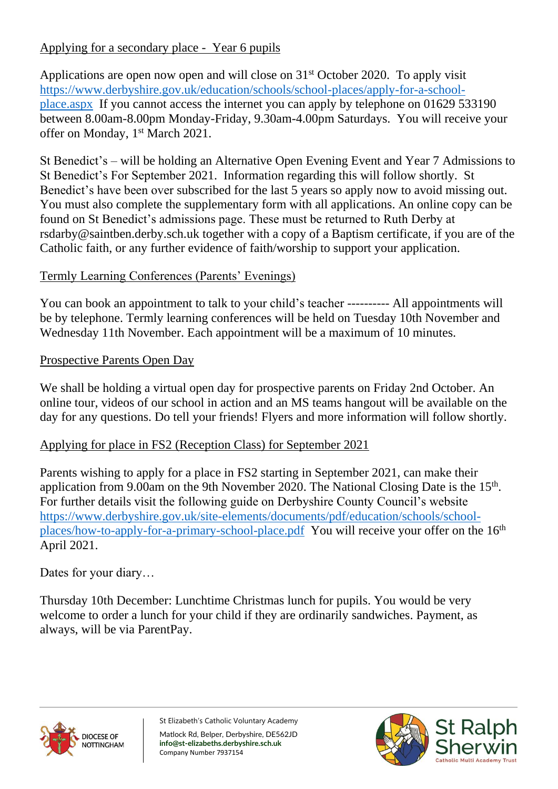# Applying for a secondary place - Year 6 pupils

Applications are open now open and will close on 31st October 2020. To apply visit [https://www.derbyshire.gov.uk/education/schools/school-places/apply-for-a-school](https://www.derbyshire.gov.uk/education/schools/school-places/apply-for-a-school-place.aspx)[place.aspx](https://www.derbyshire.gov.uk/education/schools/school-places/apply-for-a-school-place.aspx) If you cannot access the internet you can apply by telephone on 01629 533190 between 8.00am-8.00pm Monday-Friday, 9.30am-4.00pm Saturdays. You will receive your offer on Monday, 1<sup>st</sup> March 2021.

St Benedict's – will be holding an Alternative Open Evening Event and Year 7 Admissions to St Benedict's For September 2021. Information regarding this will follow shortly. St Benedict's have been over subscribed for the last 5 years so apply now to avoid missing out. You must also complete the supplementary form with all applications. An online copy can be found on St Benedict's admissions page. These must be returned to Ruth Derby at rsdarby@saintben.derby.sch.uk together with a copy of a Baptism certificate, if you are of the Catholic faith, or any further evidence of faith/worship to support your application.

# Termly Learning Conferences (Parents' Evenings)

You can book an appointment to talk to your child's teacher ---------- All appointments will be by telephone. Termly learning conferences will be held on Tuesday 10th November and Wednesday 11th November. Each appointment will be a maximum of 10 minutes.

# Prospective Parents Open Day

We shall be holding a virtual open day for prospective parents on Friday 2nd October. An online tour, videos of our school in action and an MS teams hangout will be available on the day for any questions. Do tell your friends! Flyers and more information will follow shortly.

# Applying for place in FS2 (Reception Class) for September 2021

Parents wishing to apply for a place in FS2 starting in September 2021, can make their application from 9.00am on the 9th November 2020. The National Closing Date is the  $15<sup>th</sup>$ . For further details visit the following guide on Derbyshire County Council's website [https://www.derbyshire.gov.uk/site-elements/documents/pdf/education/schools/school](https://www.derbyshire.gov.uk/site-elements/documents/pdf/education/schools/school-places/how-to-apply-for-a-primary-school-place.pdf)[places/how-to-apply-for-a-primary-school-place.pdf](https://www.derbyshire.gov.uk/site-elements/documents/pdf/education/schools/school-places/how-to-apply-for-a-primary-school-place.pdf) You will receive your offer on the 16<sup>th</sup> April 2021.

Dates for your diary…

Thursday 10th December: Lunchtime Christmas lunch for pupils. You would be very welcome to order a lunch for your child if they are ordinarily sandwiches. Payment, as always, will be via ParentPay.



St Elizabeth's Catholic Voluntary Academy Matlock Rd, Belper, Derbyshire, DE562JD **info@st-elizabeths.derbyshire.sch.uk** Company Number 7937154